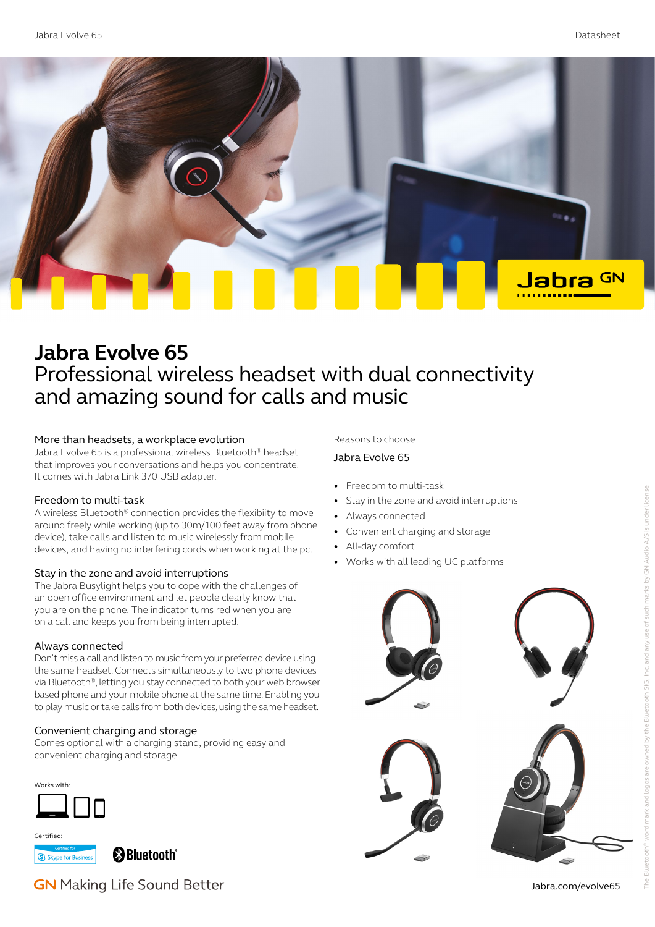

# **Jabra Evolve 65** Professional wireless headset with dual connectivity and amazing sound for calls and music

#### More than headsets, a workplace evolution

Jabra Evolve 65 is a professional wireless Bluetooth® headset that improves your conversations and helps you concentrate. It comes with Jabra Link 370 USB adapter.

#### Freedom to multi-task

A wireless Bluetooth® connection provides the flexibiity to move around freely while working (up to 30m/100 feet away from phone device), take calls and listen to music wirelessly from mobile devices, and having no interfering cords when working at the pc.

#### Stay in the zone and avoid interruptions

The Jabra Busylight helps you to cope with the challenges of an open office environment and let people clearly know that you are on the phone. The indicator turns red when you are on a call and keeps you from being interrupted.

#### Always connected

Don't miss a call and listen to music from your preferred device using the same headset. Connects simultaneously to two phone devices via Bluetooth®, letting you stay connected to both your web browser based phone and your mobile phone at the same time. Enabling you to play music or take calls from both devices, using the same headset.

#### Convenient charging and storage

Comes optional with a charging stand, providing easy and convenient charging and storage.

Works with:



Certified:

S Skype for Business

**e** Bluetooth<sup>®</sup>

# **GN** Making Life Sound Better

#### Reasons to choose

#### Jabra Evolve 65

- Freedom to multi-task
- Stay in the zone and avoid interruptions
- Always connected
- Convenient charging and storage
- All-day comfort
- Works with all leading UC platforms



Jabra.com/evolve65